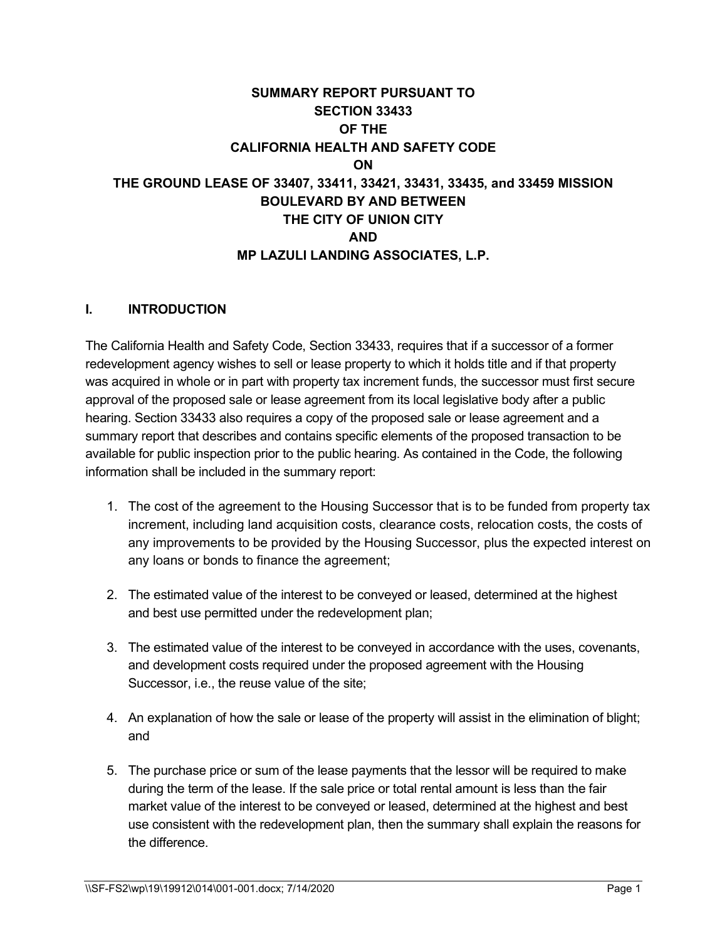# **SUMMARY REPORT PURSUANT TO SECTION 33433 OF THE CALIFORNIA HEALTH AND SAFETY CODE ON THE GROUND LEASE OF 33407, 33411, 33421, 33431, 33435, and 33459 MISSION BOULEVARD BY AND BETWEEN THE CITY OF UNION CITY AND MP LAZULI LANDING ASSOCIATES, L.P.**

#### **I. INTRODUCTION**

The California Health and Safety Code, Section 33433, requires that if a successor of a former redevelopment agency wishes to sell or lease property to which it holds title and if that property was acquired in whole or in part with property tax increment funds, the successor must first secure approval of the proposed sale or lease agreement from its local legislative body after a public hearing. Section 33433 also requires a copy of the proposed sale or lease agreement and a summary report that describes and contains specific elements of the proposed transaction to be available for public inspection prior to the public hearing. As contained in the Code, the following information shall be included in the summary report:

- 1. The cost of the agreement to the Housing Successor that is to be funded from property tax increment, including land acquisition costs, clearance costs, relocation costs, the costs of any improvements to be provided by the Housing Successor, plus the expected interest on any loans or bonds to finance the agreement;
- 2. The estimated value of the interest to be conveyed or leased, determined at the highest and best use permitted under the redevelopment plan;
- 3. The estimated value of the interest to be conveyed in accordance with the uses, covenants, and development costs required under the proposed agreement with the Housing Successor, i.e., the reuse value of the site;
- 4. An explanation of how the sale or lease of the property will assist in the elimination of blight; and
- 5. The purchase price or sum of the lease payments that the lessor will be required to make during the term of the lease. If the sale price or total rental amount is less than the fair market value of the interest to be conveyed or leased, determined at the highest and best use consistent with the redevelopment plan, then the summary shall explain the reasons for the difference.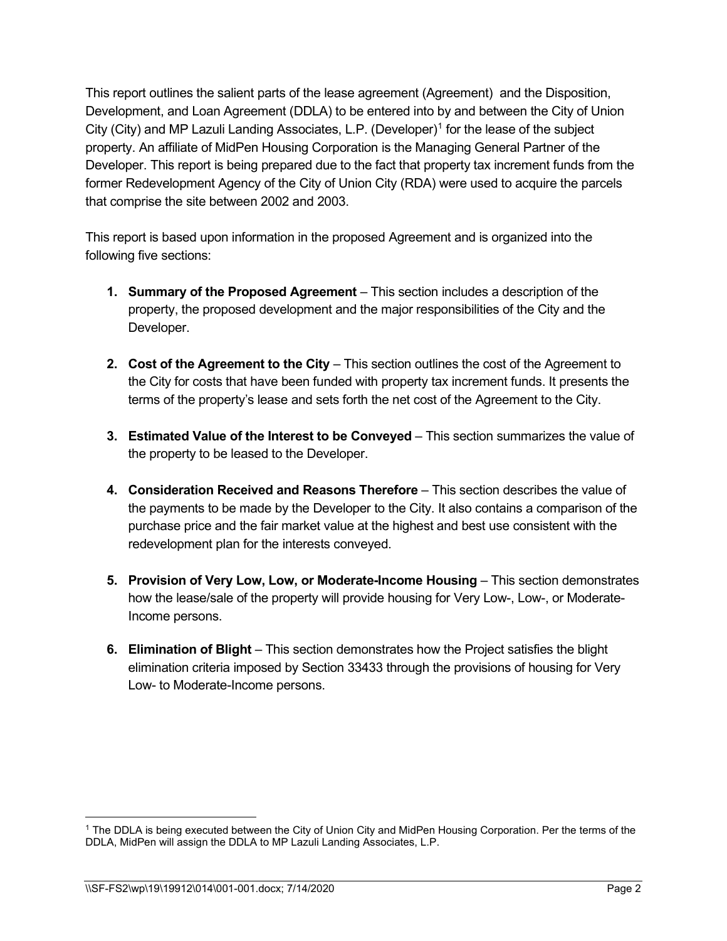This report outlines the salient parts of the lease agreement (Agreement) and the Disposition, Development, and Loan Agreement (DDLA) to be entered into by and between the City of Union City (City) and MP Lazuli Landing Associates, L.P. (Developer)<sup>[1](#page-1-0)</sup> for the lease of the subject property. An affiliate of MidPen Housing Corporation is the Managing General Partner of the Developer. This report is being prepared due to the fact that property tax increment funds from the former Redevelopment Agency of the City of Union City (RDA) were used to acquire the parcels that comprise the site between 2002 and 2003.

This report is based upon information in the proposed Agreement and is organized into the following five sections:

- **1. Summary of the Proposed Agreement** This section includes a description of the property, the proposed development and the major responsibilities of the City and the Developer.
- **2. Cost of the Agreement to the City** This section outlines the cost of the Agreement to the City for costs that have been funded with property tax increment funds. It presents the terms of the property's lease and sets forth the net cost of the Agreement to the City.
- **3. Estimated Value of the Interest to be Conveyed** This section summarizes the value of the property to be leased to the Developer.
- **4. Consideration Received and Reasons Therefore** This section describes the value of the payments to be made by the Developer to the City. It also contains a comparison of the purchase price and the fair market value at the highest and best use consistent with the redevelopment plan for the interests conveyed.
- **5. Provision of Very Low, Low, or Moderate-Income Housing This section demonstrates** how the lease/sale of the property will provide housing for Very Low-, Low-, or Moderate-Income persons.
- **6. Elimination of Blight** This section demonstrates how the Project satisfies the blight elimination criteria imposed by Section 33433 through the provisions of housing for Very Low- to Moderate-Income persons.

<span id="page-1-0"></span><sup>1</sup> The DDLA is being executed between the City of Union City and MidPen Housing Corporation. Per the terms of the DDLA, MidPen will assign the DDLA to MP Lazuli Landing Associates, L.P.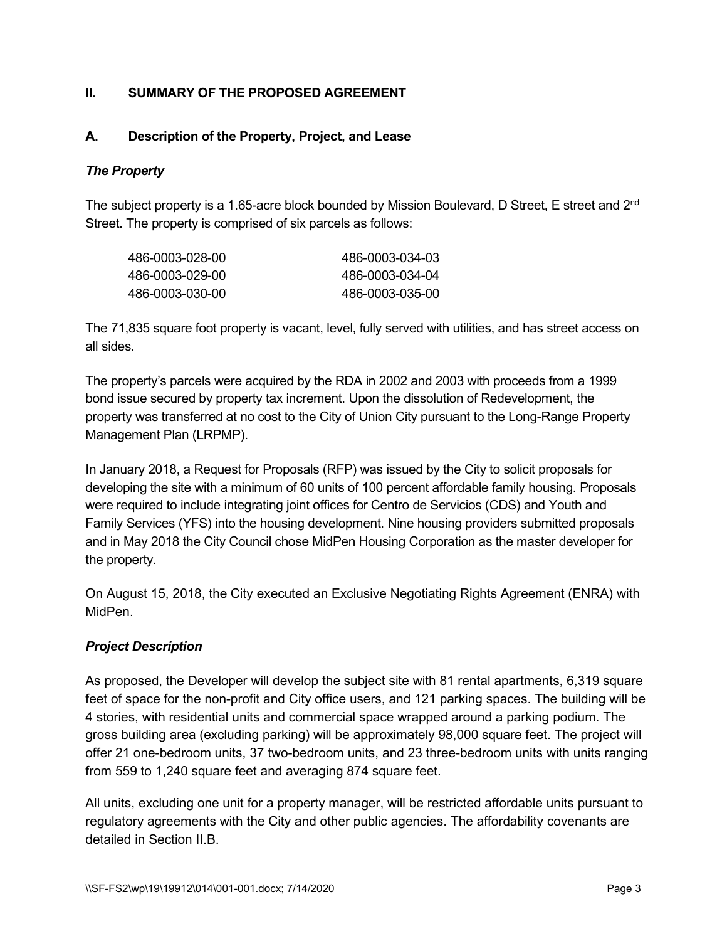#### **II. SUMMARY OF THE PROPOSED AGREEMENT**

# **A. Description of the Property, Project, and Lease**

#### *The Property*

The subject property is a 1.65-acre block bounded by Mission Boulevard, D Street, E street and 2<sup>nd</sup> Street. The property is comprised of six parcels as follows:

| 486-0003-034-03 |
|-----------------|
| 486-0003-034-04 |
| 486-0003-035-00 |
|                 |

The 71,835 square foot property is vacant, level, fully served with utilities, and has street access on all sides.

The property's parcels were acquired by the RDA in 2002 and 2003 with proceeds from a 1999 bond issue secured by property tax increment. Upon the dissolution of Redevelopment, the property was transferred at no cost to the City of Union City pursuant to the Long-Range Property Management Plan (LRPMP).

In January 2018, a Request for Proposals (RFP) was issued by the City to solicit proposals for developing the site with a minimum of 60 units of 100 percent affordable family housing. Proposals were required to include integrating joint offices for Centro de Servicios (CDS) and Youth and Family Services (YFS) into the housing development. Nine housing providers submitted proposals and in May 2018 the City Council chose MidPen Housing Corporation as the master developer for the property.

On August 15, 2018, the City executed an Exclusive Negotiating Rights Agreement (ENRA) with MidPen.

#### *Project Description*

As proposed, the Developer will develop the subject site with 81 rental apartments, 6,319 square feet of space for the non-profit and City office users, and 121 parking spaces. The building will be 4 stories, with residential units and commercial space wrapped around a parking podium. The gross building area (excluding parking) will be approximately 98,000 square feet. The project will offer 21 one-bedroom units, 37 two-bedroom units, and 23 three-bedroom units with units ranging from 559 to 1,240 square feet and averaging 874 square feet.

All units, excluding one unit for a property manager, will be restricted affordable units pursuant to regulatory agreements with the City and other public agencies. The affordability covenants are detailed in Section II.B.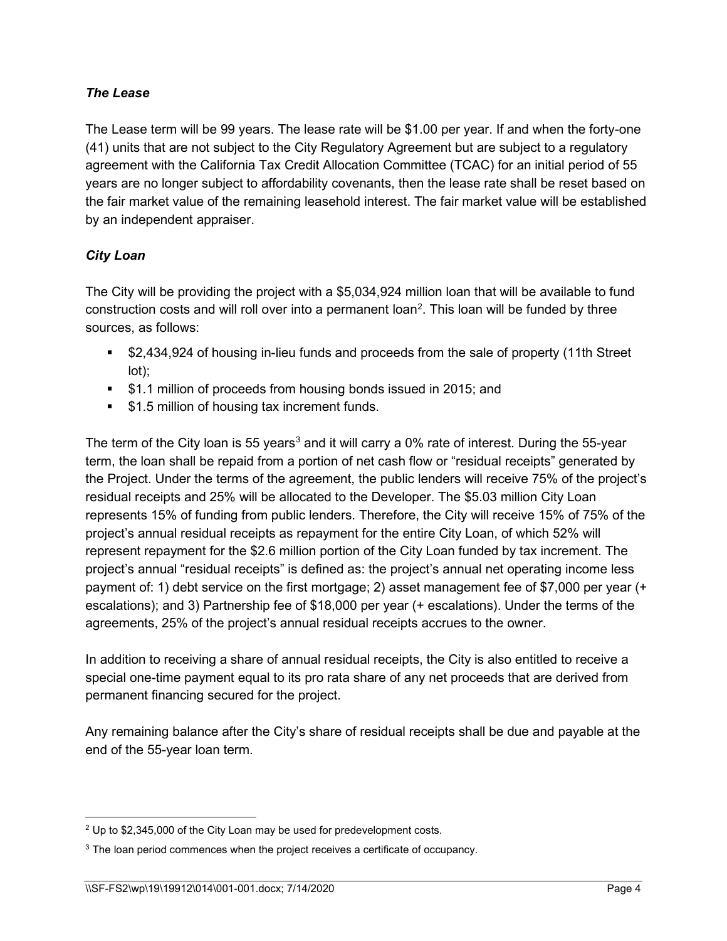#### *The Lease*

The Lease term will be 99 years. The lease rate will be \$1.00 per year. If and when the forty-one (41) units that are not subject to the City Regulatory Agreement but are subject to a regulatory agreement with the California Tax Credit Allocation Committee (TCAC) for an initial period of 55 years are no longer subject to affordability covenants, then the lease rate shall be reset based on the fair market value of the remaining leasehold interest. The fair market value will be established by an independent appraiser.

#### *City Loan*

The City will be providing the project with a \$5,034,924 million loan that will be available to fund construction costs and will roll over into a permanent loan<sup>[2](#page-3-0)</sup>. This loan will be funded by three sources, as follows:

- **52,434,924 of housing in-lieu funds and proceeds from the sale of property (11th Street** lot);
- **51.1 million of proceeds from housing bonds issued in 2015; and**
- **51.5 million of housing tax increment funds.**

The term of the City loan is 55 years<sup>[3](#page-3-1)</sup> and it will carry a 0% rate of interest. During the 55-year term, the loan shall be repaid from a portion of net cash flow or "residual receipts" generated by the Project. Under the terms of the agreement, the public lenders will receive 75% of the project's residual receipts and 25% will be allocated to the Developer. The \$5.03 million City Loan represents 15% of funding from public lenders. Therefore, the City will receive 15% of 75% of the project's annual residual receipts as repayment for the entire City Loan, of which 52% will represent repayment for the \$2.6 million portion of the City Loan funded by tax increment. The project's annual "residual receipts" is defined as: the project's annual net operating income less payment of: 1) debt service on the first mortgage; 2) asset management fee of \$7,000 per year (+ escalations); and 3) Partnership fee of \$18,000 per year (+ escalations). Under the terms of the agreements, 25% of the project's annual residual receipts accrues to the owner.

In addition to receiving a share of annual residual receipts, the City is also entitled to receive a special one-time payment equal to its pro rata share of any net proceeds that are derived from permanent financing secured for the project.

Any remaining balance after the City's share of residual receipts shall be due and payable at the end of the 55-year loan term.

<span id="page-3-0"></span><sup>2</sup> Up to \$2,345,000 of the City Loan may be used for predevelopment costs.

<span id="page-3-1"></span><sup>&</sup>lt;sup>3</sup> The loan period commences when the project receives a certificate of occupancy.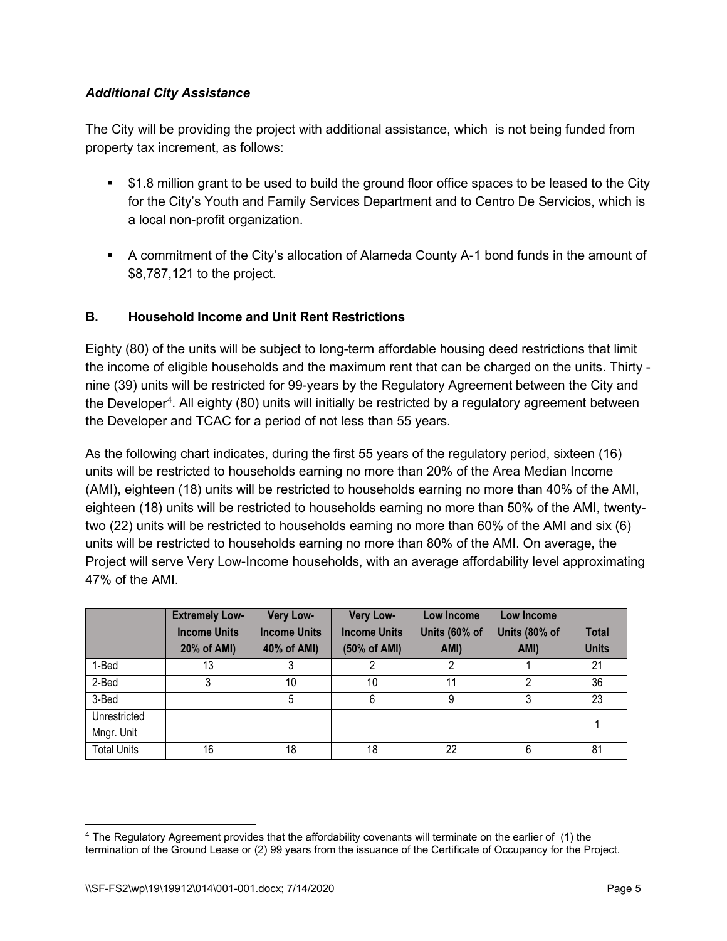#### *Additional City Assistance*

The City will be providing the project with additional assistance, which is not being funded from property tax increment, as follows:

- \$1.8 million grant to be used to build the ground floor office spaces to be leased to the City for the City's Youth and Family Services Department and to Centro De Servicios, which is a local non-profit organization.
- A commitment of the City's allocation of Alameda County A-1 bond funds in the amount of \$8,787,121 to the project.

# **B. Household Income and Unit Rent Restrictions**

Eighty (80) of the units will be subject to long-term affordable housing deed restrictions that limit the income of eligible households and the maximum rent that can be charged on the units. Thirty nine (39) units will be restricted for 99-years by the Regulatory Agreement between the City and the Developer<sup>[4](#page-4-0)</sup>. All eighty (80) units will initially be restricted by a regulatory agreement between the Developer and TCAC for a period of not less than 55 years.

As the following chart indicates, during the first 55 years of the regulatory period, sixteen (16) units will be restricted to households earning no more than 20% of the Area Median Income (AMI), eighteen (18) units will be restricted to households earning no more than 40% of the AMI, eighteen (18) units will be restricted to households earning no more than 50% of the AMI, twentytwo (22) units will be restricted to households earning no more than 60% of the AMI and six (6) units will be restricted to households earning no more than 80% of the AMI. On average, the Project will serve Very Low-Income households, with an average affordability level approximating 47% of the AMI.

|                    | <b>Extremely Low-</b> | Very Low-           | Very Low-           | Low Income    | Low Income    |              |
|--------------------|-----------------------|---------------------|---------------------|---------------|---------------|--------------|
|                    | <b>Income Units</b>   | <b>Income Units</b> | <b>Income Units</b> | Units (60% of | Units (80% of | <b>Total</b> |
|                    | 20% of AMI)           | 40% of AMI)         | (50% of AMI)        | AMI)          | AMI)          | <b>Units</b> |
| 1-Bed              | 13                    |                     |                     |               |               | 21           |
| 2-Bed              |                       | 10                  | 10                  | 11            |               | 36           |
| 3-Bed              |                       | 5                   | 6                   | 9             |               | 23           |
| Unrestricted       |                       |                     |                     |               |               |              |
| Mngr. Unit         |                       |                     |                     |               |               |              |
| <b>Total Units</b> | 16                    | 18                  | 18                  | 22            |               | 81           |

<span id="page-4-0"></span><sup>4</sup> The Regulatory Agreement provides that the affordability covenants will terminate on the earlier of (1) the termination of the Ground Lease or (2) 99 years from the issuance of the Certificate of Occupancy for the Project.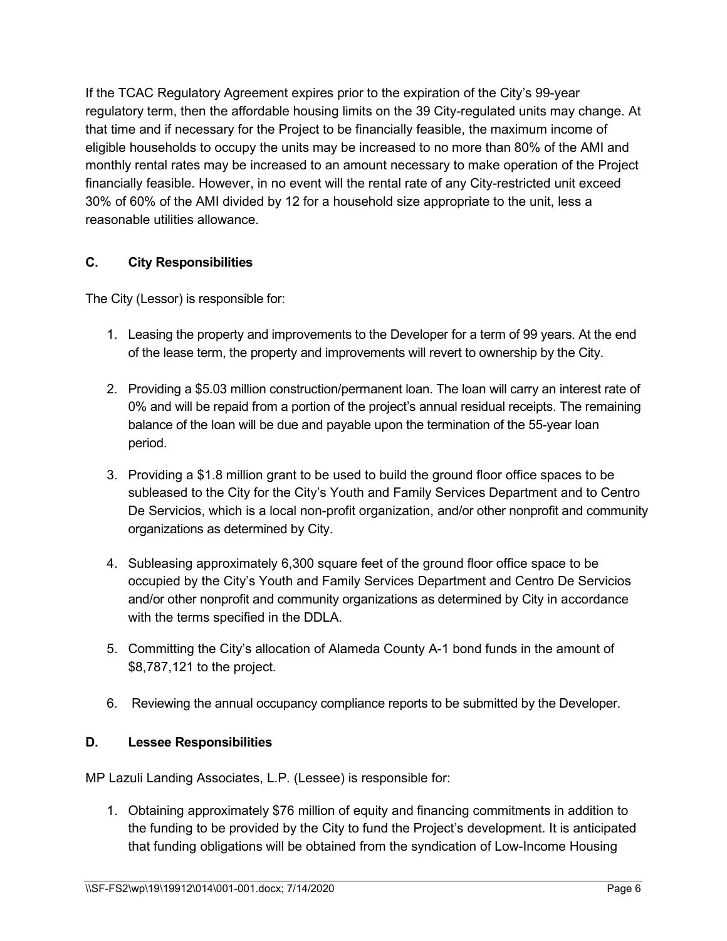If the TCAC Regulatory Agreement expires prior to the expiration of the City's 99-year regulatory term, then the affordable housing limits on the 39 City-regulated units may change. At that time and if necessary for the Project to be financially feasible, the maximum income of eligible households to occupy the units may be increased to no more than 80% of the AMI and monthly rental rates may be increased to an amount necessary to make operation of the Project financially feasible. However, in no event will the rental rate of any City-restricted unit exceed 30% of 60% of the AMI divided by 12 for a household size appropriate to the unit, less a reasonable utilities allowance.

# **C. City Responsibilities**

The City (Lessor) is responsible for:

- 1. Leasing the property and improvements to the Developer for a term of 99 years. At the end of the lease term, the property and improvements will revert to ownership by the City.
- 2. Providing a \$5.03 million construction/permanent loan. The loan will carry an interest rate of 0% and will be repaid from a portion of the project's annual residual receipts. The remaining balance of the loan will be due and payable upon the termination of the 55-year loan period.
- 3. Providing a \$1.8 million grant to be used to build the ground floor office spaces to be subleased to the City for the City's Youth and Family Services Department and to Centro De Servicios, which is a local non-profit organization, and/or other nonprofit and community organizations as determined by City.
- 4. Subleasing approximately 6,300 square feet of the ground floor office space to be occupied by the City's Youth and Family Services Department and Centro De Servicios and/or other nonprofit and community organizations as determined by City in accordance with the terms specified in the DDLA.
- 5. Committing the City's allocation of Alameda County A-1 bond funds in the amount of \$8,787,121 to the project.
- 6. Reviewing the annual occupancy compliance reports to be submitted by the Developer.

# **D. Lessee Responsibilities**

MP Lazuli Landing Associates, L.P. (Lessee) is responsible for:

1. Obtaining approximately \$76 million of equity and financing commitments in addition to the funding to be provided by the City to fund the Project's development. It is anticipated that funding obligations will be obtained from the syndication of Low-Income Housing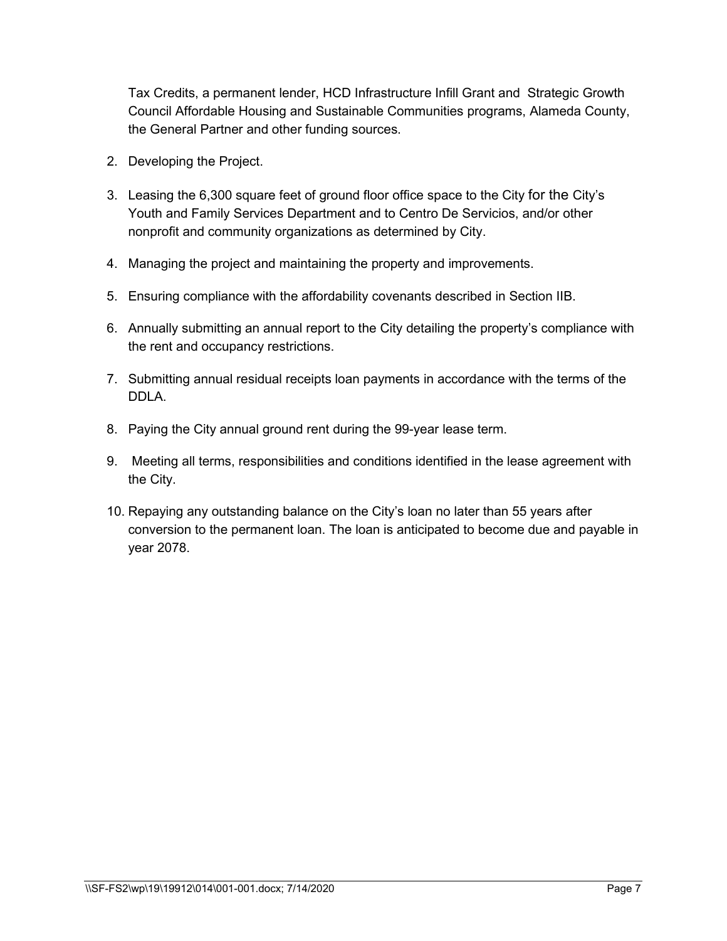Tax Credits, a permanent lender, HCD Infrastructure Infill Grant and Strategic Growth Council Affordable Housing and Sustainable Communities programs, Alameda County, the General Partner and other funding sources.

- 2. Developing the Project.
- 3. Leasing the 6,300 square feet of ground floor office space to the City for the City's Youth and Family Services Department and to Centro De Servicios, and/or other nonprofit and community organizations as determined by City.
- 4. Managing the project and maintaining the property and improvements.
- 5. Ensuring compliance with the affordability covenants described in Section IIB.
- 6. Annually submitting an annual report to the City detailing the property's compliance with the rent and occupancy restrictions.
- 7. Submitting annual residual receipts loan payments in accordance with the terms of the DDLA.
- 8. Paying the City annual ground rent during the 99-year lease term.
- 9. Meeting all terms, responsibilities and conditions identified in the lease agreement with the City.
- 10. Repaying any outstanding balance on the City's loan no later than 55 years after conversion to the permanent loan. The loan is anticipated to become due and payable in year 2078.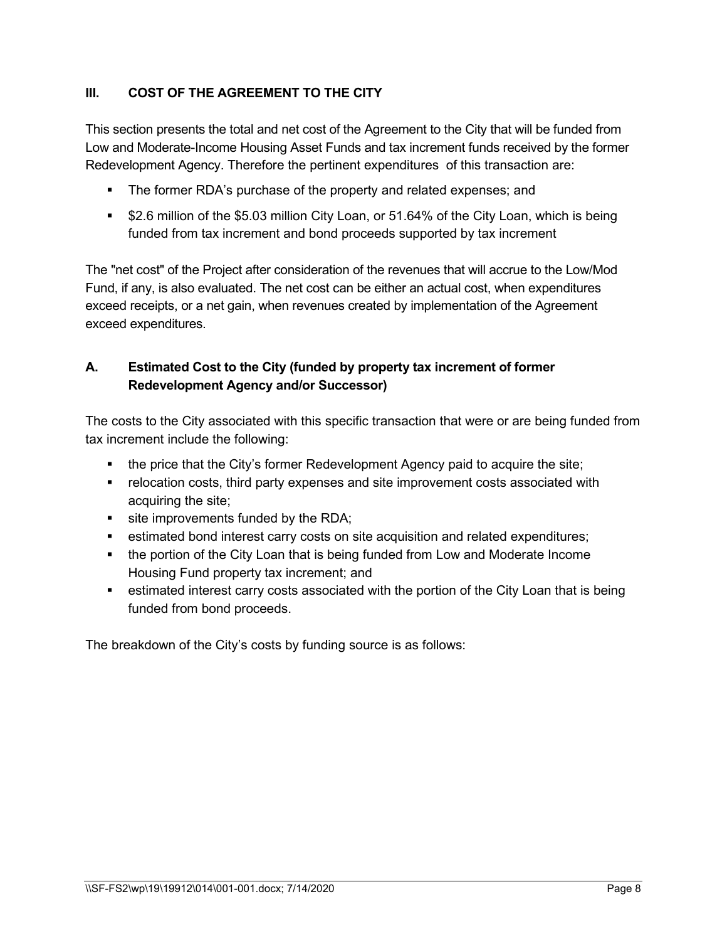# **III. COST OF THE AGREEMENT TO THE CITY**

This section presents the total and net cost of the Agreement to the City that will be funded from Low and Moderate-Income Housing Asset Funds and tax increment funds received by the former Redevelopment Agency. Therefore the pertinent expenditures of this transaction are:

- The former RDA's purchase of the property and related expenses; and
- **52.6 million of the \$5.03 million City Loan, or 51.64% of the City Loan, which is being** funded from tax increment and bond proceeds supported by tax increment

The "net cost" of the Project after consideration of the revenues that will accrue to the Low/Mod Fund, if any, is also evaluated. The net cost can be either an actual cost, when expenditures exceed receipts, or a net gain, when revenues created by implementation of the Agreement exceed expenditures.

# **A. Estimated Cost to the City (funded by property tax increment of former Redevelopment Agency and/or Successor)**

The costs to the City associated with this specific transaction that were or are being funded from tax increment include the following:

- the price that the City's former Redevelopment Agency paid to acquire the site;
- **•** relocation costs, third party expenses and site improvement costs associated with acquiring the site;
- site improvements funded by the RDA;
- estimated bond interest carry costs on site acquisition and related expenditures;
- the portion of the City Loan that is being funded from Low and Moderate Income Housing Fund property tax increment; and
- **EXEDENT ENTERT CONTEX 1** estimated interest carry costs associated with the portion of the City Loan that is being funded from bond proceeds.

The breakdown of the City's costs by funding source is as follows: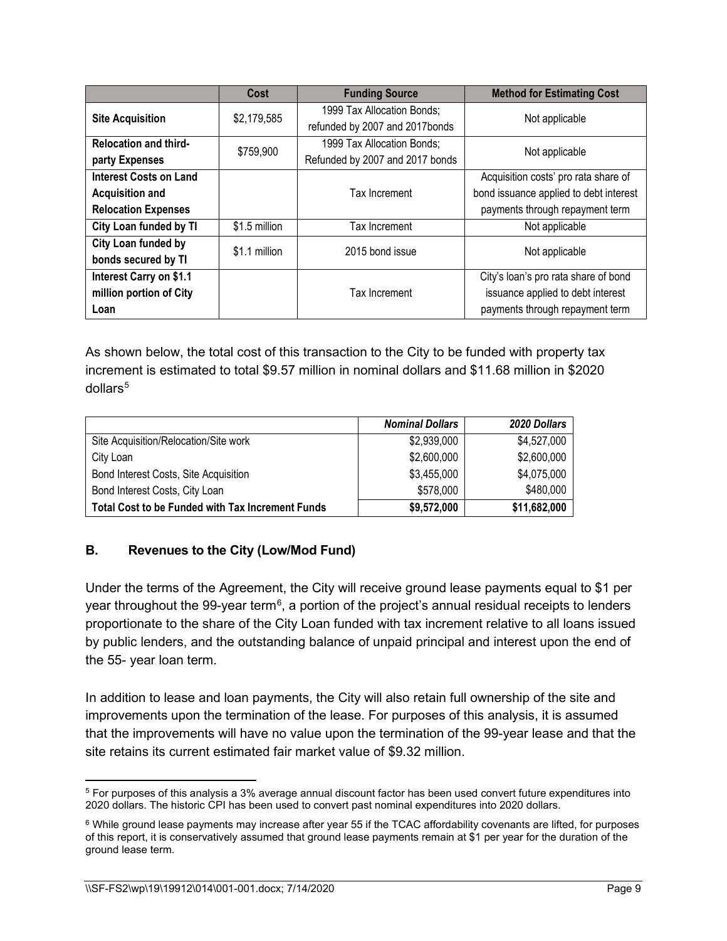|                                                                                       | Cost          | <b>Funding Source</b>                                         | <b>Method for Estimating Cost</b>                                                                                 |
|---------------------------------------------------------------------------------------|---------------|---------------------------------------------------------------|-------------------------------------------------------------------------------------------------------------------|
| <b>Site Acquisition</b>                                                               | \$2,179,585   | 1999 Tax Allocation Bonds;<br>refunded by 2007 and 2017bonds  | Not applicable                                                                                                    |
| <b>Relocation and third-</b><br>party Expenses                                        | \$759,900     | 1999 Tax Allocation Bonds;<br>Refunded by 2007 and 2017 bonds | Not applicable                                                                                                    |
| <b>Interest Costs on Land</b><br><b>Acquisition and</b><br><b>Relocation Expenses</b> |               | Tax Increment                                                 | Acquisition costs' pro rata share of<br>bond issuance applied to debt interest<br>payments through repayment term |
| City Loan funded by TI                                                                | \$1.5 million | Tax Increment                                                 | Not applicable                                                                                                    |
| City Loan funded by<br>bonds secured by TI                                            | \$1.1 million | 2015 bond issue                                               | Not applicable                                                                                                    |
| Interest Carry on \$1.1<br>million portion of City<br>Loan                            |               | Tax Increment                                                 | City's loan's pro rata share of bond<br>issuance applied to debt interest<br>payments through repayment term      |

As shown below, the total cost of this transaction to the City to be funded with property tax increment is estimated to total \$9.57 million in nominal dollars and \$11.68 million in \$2020  $dollars<sup>5</sup>$  $dollars<sup>5</sup>$  $dollars<sup>5</sup>$ 

|                                                         | <b>Nominal Dollars</b> | <b>2020 Dollars</b> |
|---------------------------------------------------------|------------------------|---------------------|
| Site Acquisition/Relocation/Site work                   | \$2,939,000            | \$4,527,000         |
| City Loan                                               | \$2,600,000            | \$2,600,000         |
| Bond Interest Costs, Site Acquisition                   | \$3,455,000            | \$4,075,000         |
| Bond Interest Costs, City Loan                          | \$578,000              | \$480,000           |
| <b>Total Cost to be Funded with Tax Increment Funds</b> | \$9,572,000            | \$11,682,000        |

# **B. Revenues to the City (Low/Mod Fund)**

Under the terms of the Agreement, the City will receive ground lease payments equal to \$1 per year throughout the 99-year term $^6$  $^6$ , a portion of the project's annual residual receipts to lenders proportionate to the share of the City Loan funded with tax increment relative to all loans issued by public lenders, and the outstanding balance of unpaid principal and interest upon the end of the 55- year loan term.

In addition to lease and loan payments, the City will also retain full ownership of the site and improvements upon the termination of the lease. For purposes of this analysis, it is assumed that the improvements will have no value upon the termination of the 99-year lease and that the site retains its current estimated fair market value of \$9.32 million.

<span id="page-8-0"></span><sup>5</sup> For purposes of this analysis a 3% average annual discount factor has been used convert future expenditures into 2020 dollars. The historic CPI has been used to convert past nominal expenditures into 2020 dollars.

<span id="page-8-1"></span> $6$  While ground lease payments may increase after year 55 if the TCAC affordability covenants are lifted, for purposes of this report, it is conservatively assumed that ground lease payments remain at \$1 per year for the duration of the ground lease term.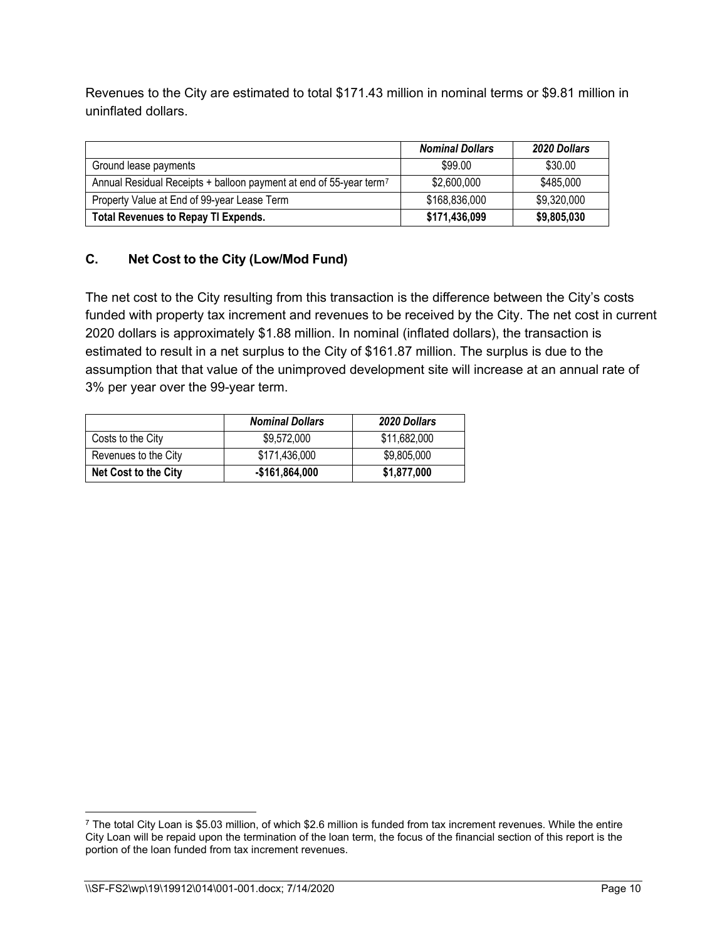Revenues to the City are estimated to total \$171.43 million in nominal terms or \$9.81 million in uninflated dollars.

|                                                                                | <b>Nominal Dollars</b> | <b>2020 Dollars</b> |
|--------------------------------------------------------------------------------|------------------------|---------------------|
| Ground lease payments                                                          | \$99.00                | \$30.00             |
| Annual Residual Receipts + balloon payment at end of 55-year term <sup>7</sup> | \$2,600,000            | \$485,000           |
| Property Value at End of 99-year Lease Term                                    | \$168,836,000          | \$9,320,000         |
| <b>Total Revenues to Repay TI Expends.</b>                                     | \$171,436,099          | \$9,805,030         |

# **C. Net Cost to the City (Low/Mod Fund)**

The net cost to the City resulting from this transaction is the difference between the City's costs funded with property tax increment and revenues to be received by the City. The net cost in current 2020 dollars is approximately \$1.88 million. In nominal (inflated dollars), the transaction is estimated to result in a net surplus to the City of \$161.87 million. The surplus is due to the assumption that that value of the unimproved development site will increase at an annual rate of 3% per year over the 99-year term.

|                      | <b>Nominal Dollars</b> | <b>2020 Dollars</b> |
|----------------------|------------------------|---------------------|
| Costs to the City    | \$9,572,000            | \$11,682,000        |
| Revenues to the City | \$171,436,000          | \$9,805,000         |
| Net Cost to the City | -\$161,864,000         | \$1,877,000         |

<span id="page-9-0"></span> $7$  The total City Loan is \$5.03 million, of which \$2.6 million is funded from tax increment revenues. While the entire City Loan will be repaid upon the termination of the loan term, the focus of the financial section of this report is the portion of the loan funded from tax increment revenues.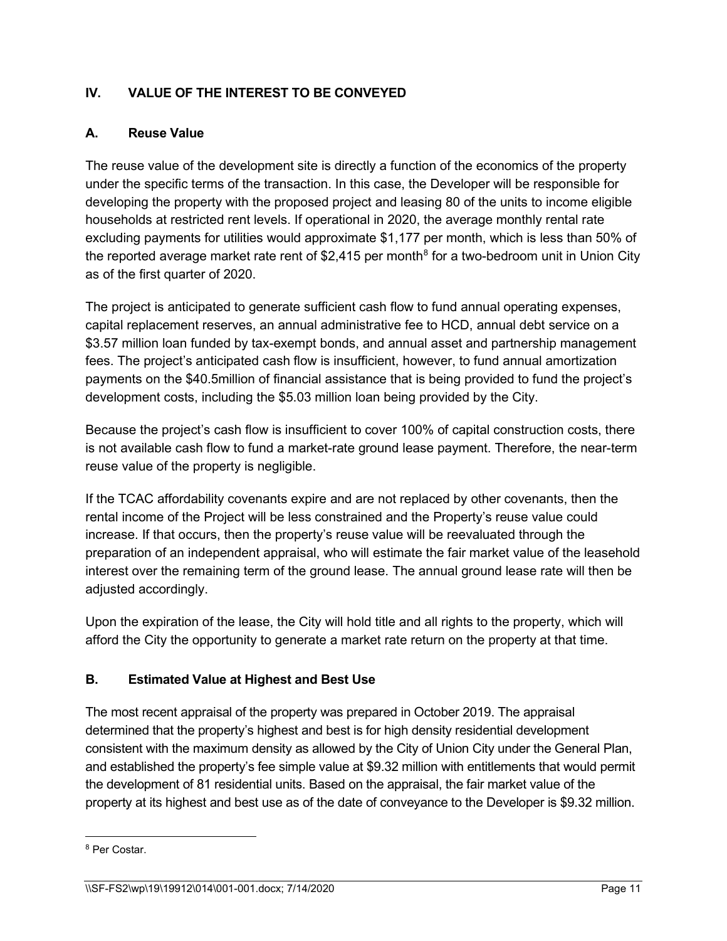# **IV. VALUE OF THE INTEREST TO BE CONVEYED**

#### **A. Reuse Value**

The reuse value of the development site is directly a function of the economics of the property under the specific terms of the transaction. In this case, the Developer will be responsible for developing the property with the proposed project and leasing 80 of the units to income eligible households at restricted rent levels. If operational in 2020, the average monthly rental rate excluding payments for utilities would approximate \$1,177 per month, which is less than 50% of the reported average market rate rent of \$2,415 per month<sup>[8](#page-10-0)</sup> for a two-bedroom unit in Union City as of the first quarter of 2020.

The project is anticipated to generate sufficient cash flow to fund annual operating expenses, capital replacement reserves, an annual administrative fee to HCD, annual debt service on a \$3.57 million loan funded by tax-exempt bonds, and annual asset and partnership management fees. The project's anticipated cash flow is insufficient, however, to fund annual amortization payments on the \$40.5million of financial assistance that is being provided to fund the project's development costs, including the \$5.03 million loan being provided by the City.

Because the project's cash flow is insufficient to cover 100% of capital construction costs, there is not available cash flow to fund a market-rate ground lease payment. Therefore, the near-term reuse value of the property is negligible.

If the TCAC affordability covenants expire and are not replaced by other covenants, then the rental income of the Project will be less constrained and the Property's reuse value could increase. If that occurs, then the property's reuse value will be reevaluated through the preparation of an independent appraisal, who will estimate the fair market value of the leasehold interest over the remaining term of the ground lease. The annual ground lease rate will then be adjusted accordingly.

Upon the expiration of the lease, the City will hold title and all rights to the property, which will afford the City the opportunity to generate a market rate return on the property at that time.

#### **B. Estimated Value at Highest and Best Use**

The most recent appraisal of the property was prepared in October 2019. The appraisal determined that the property's highest and best is for high density residential development consistent with the maximum density as allowed by the City of Union City under the General Plan, and established the property's fee simple value at \$9.32 million with entitlements that would permit the development of 81 residential units. Based on the appraisal, the fair market value of the property at its highest and best use as of the date of conveyance to the Developer is \$9.32 million.

<span id="page-10-0"></span><sup>8</sup> Per Costar.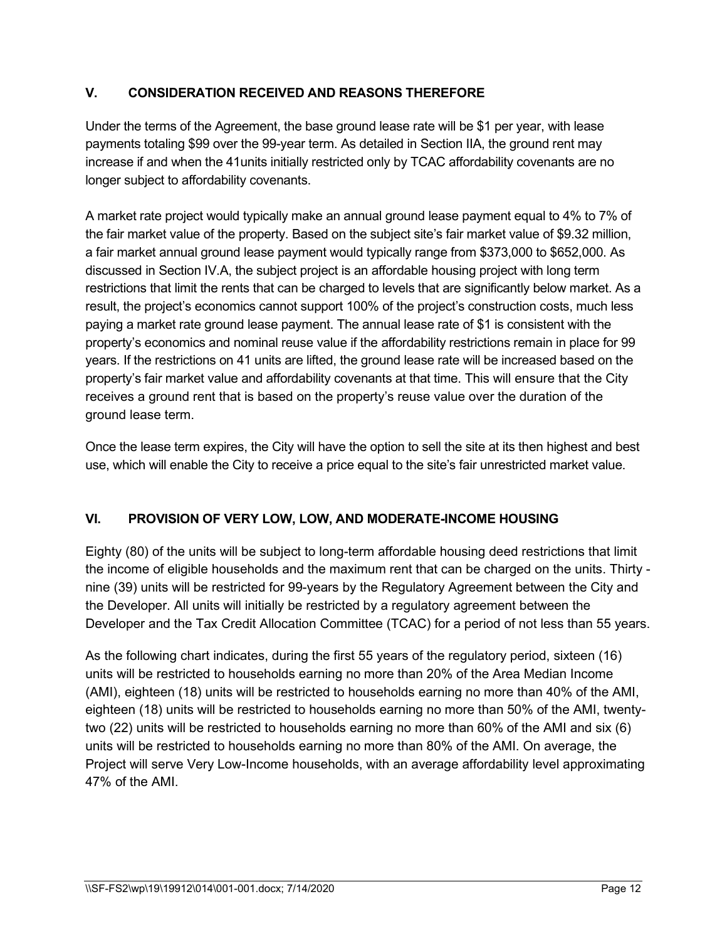# **V. CONSIDERATION RECEIVED AND REASONS THEREFORE**

Under the terms of the Agreement, the base ground lease rate will be \$1 per year, with lease payments totaling \$99 over the 99-year term. As detailed in Section IIA, the ground rent may increase if and when the 41units initially restricted only by TCAC affordability covenants are no longer subject to affordability covenants.

A market rate project would typically make an annual ground lease payment equal to 4% to 7% of the fair market value of the property. Based on the subject site's fair market value of \$9.32 million, a fair market annual ground lease payment would typically range from \$373,000 to \$652,000. As discussed in Section IV.A, the subject project is an affordable housing project with long term restrictions that limit the rents that can be charged to levels that are significantly below market. As a result, the project's economics cannot support 100% of the project's construction costs, much less paying a market rate ground lease payment. The annual lease rate of \$1 is consistent with the property's economics and nominal reuse value if the affordability restrictions remain in place for 99 years. If the restrictions on 41 units are lifted, the ground lease rate will be increased based on the property's fair market value and affordability covenants at that time. This will ensure that the City receives a ground rent that is based on the property's reuse value over the duration of the ground lease term.

Once the lease term expires, the City will have the option to sell the site at its then highest and best use, which will enable the City to receive a price equal to the site's fair unrestricted market value.

#### **VI. PROVISION OF VERY LOW, LOW, AND MODERATE-INCOME HOUSING**

Eighty (80) of the units will be subject to long-term affordable housing deed restrictions that limit the income of eligible households and the maximum rent that can be charged on the units. Thirty nine (39) units will be restricted for 99-years by the Regulatory Agreement between the City and the Developer. All units will initially be restricted by a regulatory agreement between the Developer and the Tax Credit Allocation Committee (TCAC) for a period of not less than 55 years.

As the following chart indicates, during the first 55 years of the regulatory period, sixteen (16) units will be restricted to households earning no more than 20% of the Area Median Income (AMI), eighteen (18) units will be restricted to households earning no more than 40% of the AMI, eighteen (18) units will be restricted to households earning no more than 50% of the AMI, twentytwo (22) units will be restricted to households earning no more than 60% of the AMI and six (6) units will be restricted to households earning no more than 80% of the AMI. On average, the Project will serve Very Low-Income households, with an average affordability level approximating 47% of the AMI.